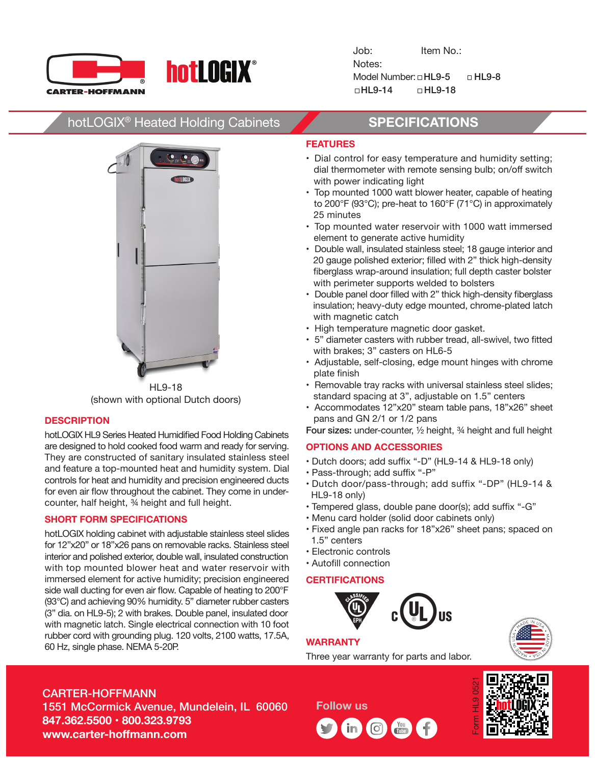

Job: Item No.: Notes: Model Number:  $\Box$  HL9-5  $\Box$  HL9-8  $\Box$ HL9-14  $\Box$ HL9-18

# hotLOGIX® Heated Holding Cabinets **SPECIFICATIONS**



HL9-18 (shown with optional Dutch doors)

# **DESCRIPTION**

hotLOGIX HL9 Series Heated Humidified Food Holding Cabinets are designed to hold cooked food warm and ready for serving. They are constructed of sanitary insulated stainless steel and feature a top-mounted heat and humidity system. Dial controls for heat and humidity and precision engineered ducts for even air flow throughout the cabinet. They come in undercounter, half height, ¾ height and full height.

## **SHORT FORM SPECIFICATIONS**

hotLOGIX holding cabinet with adjustable stainless steel slides for 12"x20" or 18"x26 pans on removable racks. Stainless steel interior and polished exterior, double wall, insulated construction with top mounted blower heat and water reservoir with immersed element for active humidity; precision engineered side wall ducting for even air flow. Capable of heating to 200°F (93°C) and achieving 90% humidity. 5" diameter rubber casters (3" dia. on HL9-5); 2 with brakes. Double panel, insulated door with magnetic latch. Single electrical connection with 10 foot rubber cord with grounding plug. 120 volts, 2100 watts, 17.5A, 60 Hz, single phase. NEMA 5-20P.

# **FEATURES**

- Dial control for easy temperature and humidity setting; dial thermometer with remote sensing bulb; on/off switch with power indicating light
- Top mounted 1000 watt blower heater, capable of heating to 200°F (93°C); pre-heat to 160°F (71°C) in approximately 25 minutes
- Top mounted water reservoir with 1000 watt immersed element to generate active humidity
- Double wall, insulated stainless steel; 18 gauge interior and 20 gauge polished exterior; filled with 2" thick high-density fiberglass wrap-around insulation; full depth caster bolster with perimeter supports welded to bolsters
- Double panel door filled with 2" thick high-density fiberglass insulation; heavy-duty edge mounted, chrome-plated latch with magnetic catch
- High temperature magnetic door gasket.
- 5" diameter casters with rubber tread, all-swivel, two fitted with brakes; 3" casters on HL6-5
- Adjustable, self-closing, edge mount hinges with chrome plate finish
- Removable tray racks with universal stainless steel slides; standard spacing at 3", adjustable on 1.5" centers
- Accommodates 12"x20" steam table pans, 18"x26" sheet pans and GN 2/1 or 1/2 pans

Four sizes: under-counter, ½ height, ¾ height and full height

# **OPTIONS AND ACCESSORIES**

- Dutch doors; add suffix "-D" (HL9-14 & HL9-18 only)
- Pass-through; add suffix "-P"
- Dutch door/pass-through; add suffix "-DP" (HL9-14 & HL9-18 only)
- Tempered glass, double pane door(s); add suffix "-G"
- Menu card holder (solid door cabinets only)
- Fixed angle pan racks for 18"x26" sheet pans; spaced on 1.5" centers
- Electronic controls
- Autofill connection

## **CERTIFICATIONS**





Three year warranty for parts and labor.



CARTER-HOFFMANN

1551 McCormick Avenue, Mundelein, IL 60060 **847.362.5500 • 800.323.9793 www.carter-hoffmann.com**

**Follow us**